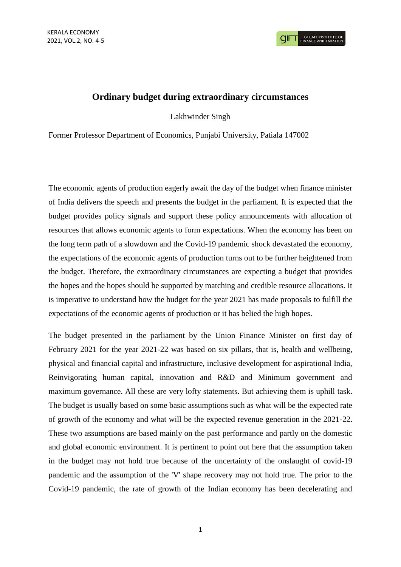## **Ordinary budget during extraordinary circumstances**

Lakhwinder Singh

Former Professor Department of Economics, Punjabi University, Patiala 147002

The economic agents of production eagerly await the day of the budget when finance minister of India delivers the speech and presents the budget in the parliament. It is expected that the budget provides policy signals and support these policy announcements with allocation of resources that allows economic agents to form expectations. When the economy has been on the long term path of a slowdown and the Covid-19 pandemic shock devastated the economy, the expectations of the economic agents of production turns out to be further heightened from the budget. Therefore, the extraordinary circumstances are expecting a budget that provides the hopes and the hopes should be supported by matching and credible resource allocations. It is imperative to understand how the budget for the year 2021 has made proposals to fulfill the expectations of the economic agents of production or it has belied the high hopes.

The budget presented in the parliament by the Union Finance Minister on first day of February 2021 for the year 2021-22 was based on six pillars, that is, health and wellbeing, physical and financial capital and infrastructure, inclusive development for aspirational India, Reinvigorating human capital, innovation and R&D and Minimum government and maximum governance. All these are very lofty statements. But achieving them is uphill task. The budget is usually based on some basic assumptions such as what will be the expected rate of growth of the economy and what will be the expected revenue generation in the 2021-22. These two assumptions are based mainly on the past performance and partly on the domestic and global economic environment. It is pertinent to point out here that the assumption taken in the budget may not hold true because of the uncertainty of the onslaught of covid-19 pandemic and the assumption of the 'V' shape recovery may not hold true. The prior to the Covid-19 pandemic, the rate of growth of the Indian economy has been decelerating and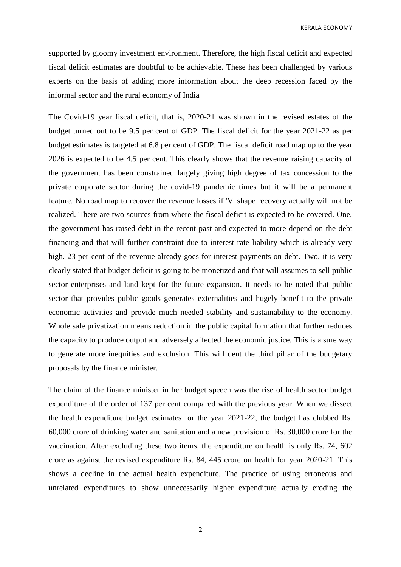KERALA ECONOMY

supported by gloomy investment environment. Therefore, the high fiscal deficit and expected fiscal deficit estimates are doubtful to be achievable. These has been challenged by various experts on the basis of adding more information about the deep recession faced by the informal sector and the rural economy of India

The Covid-19 year fiscal deficit, that is, 2020-21 was shown in the revised estates of the budget turned out to be 9.5 per cent of GDP. The fiscal deficit for the year 2021-22 as per budget estimates is targeted at 6.8 per cent of GDP. The fiscal deficit road map up to the year 2026 is expected to be 4.5 per cent. This clearly shows that the revenue raising capacity of the government has been constrained largely giving high degree of tax concession to the private corporate sector during the covid-19 pandemic times but it will be a permanent feature. No road map to recover the revenue losses if 'V' shape recovery actually will not be realized. There are two sources from where the fiscal deficit is expected to be covered. One, the government has raised debt in the recent past and expected to more depend on the debt financing and that will further constraint due to interest rate liability which is already very high. 23 per cent of the revenue already goes for interest payments on debt. Two, it is very clearly stated that budget deficit is going to be monetized and that will assumes to sell public sector enterprises and land kept for the future expansion. It needs to be noted that public sector that provides public goods generates externalities and hugely benefit to the private economic activities and provide much needed stability and sustainability to the economy. Whole sale privatization means reduction in the public capital formation that further reduces the capacity to produce output and adversely affected the economic justice. This is a sure way to generate more inequities and exclusion. This will dent the third pillar of the budgetary proposals by the finance minister.

The claim of the finance minister in her budget speech was the rise of health sector budget expenditure of the order of 137 per cent compared with the previous year. When we dissect the health expenditure budget estimates for the year 2021-22, the budget has clubbed Rs. 60,000 crore of drinking water and sanitation and a new provision of Rs. 30,000 crore for the vaccination. After excluding these two items, the expenditure on health is only Rs. 74, 602 crore as against the revised expenditure Rs. 84, 445 crore on health for year 2020-21. This shows a decline in the actual health expenditure. The practice of using erroneous and unrelated expenditures to show unnecessarily higher expenditure actually eroding the